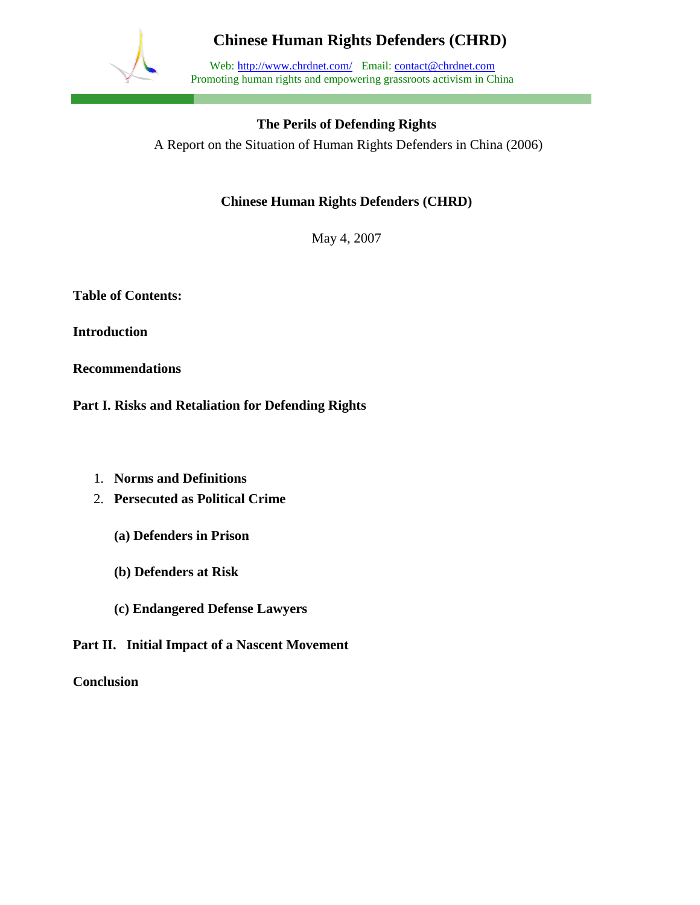

Web: http://www.chrdnet.com/ Email: contact@chrdnet.com Promoting human rights and empowering grassroots activism in China

### **The Perils of Defending Rights**

A Report on the Situation of Human Rights Defenders in China (2006)

### **Chinese Human Rights Defenders (CHRD)**

May 4, 2007

**Table of Contents:**

**Introduction**

**Recommendations**

**Part I. Risks and Retaliation for Defending Rights**

- 1. **Norms and Definitions**
- 2. **Persecuted as Political Crime**
	- **(a) Defenders in Prison**
	- **(b) Defenders at Risk**
	- **(c) Endangered Defense Lawyers**

**Part II. Initial Impact of a Nascent Movement**

**Conclusion**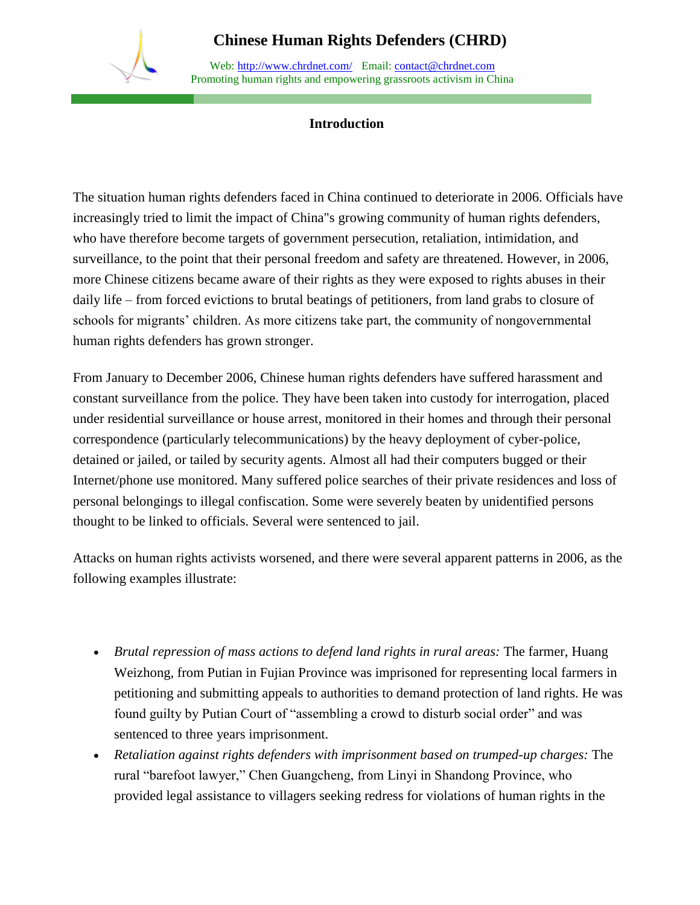

Web: http://www.chrdnet.com/ Email: contact@chrdnet.com Promoting human rights and empowering grassroots activism in China

#### **Introduction**

The situation human rights defenders faced in China continued to deteriorate in 2006. Officials have increasingly tried to limit the impact of China"s growing community of human rights defenders, who have therefore become targets of government persecution, retaliation, intimidation, and surveillance, to the point that their personal freedom and safety are threatened. However, in 2006, more Chinese citizens became aware of their rights as they were exposed to rights abuses in their daily life – from forced evictions to brutal beatings of petitioners, from land grabs to closure of schools for migrants' children. As more citizens take part, the community of nongovernmental human rights defenders has grown stronger.

From January to December 2006, Chinese human rights defenders have suffered harassment and constant surveillance from the police. They have been taken into custody for interrogation, placed under residential surveillance or house arrest, monitored in their homes and through their personal correspondence (particularly telecommunications) by the heavy deployment of cyber-police, detained or jailed, or tailed by security agents. Almost all had their computers bugged or their Internet/phone use monitored. Many suffered police searches of their private residences and loss of personal belongings to illegal confiscation. Some were severely beaten by unidentified persons thought to be linked to officials. Several were sentenced to jail.

Attacks on human rights activists worsened, and there were several apparent patterns in 2006, as the following examples illustrate:

- *Brutal repression of mass actions to defend land rights in rural areas:* The farmer, Huang Weizhong, from Putian in Fujian Province was imprisoned for representing local farmers in petitioning and submitting appeals to authorities to demand protection of land rights. He was found guilty by Putian Court of "assembling a crowd to disturb social order" and was sentenced to three years imprisonment.
- *Retaliation against rights defenders with imprisonment based on trumped-up charges:* The rural "barefoot lawyer," Chen Guangcheng, from Linyi in Shandong Province, who provided legal assistance to villagers seeking redress for violations of human rights in the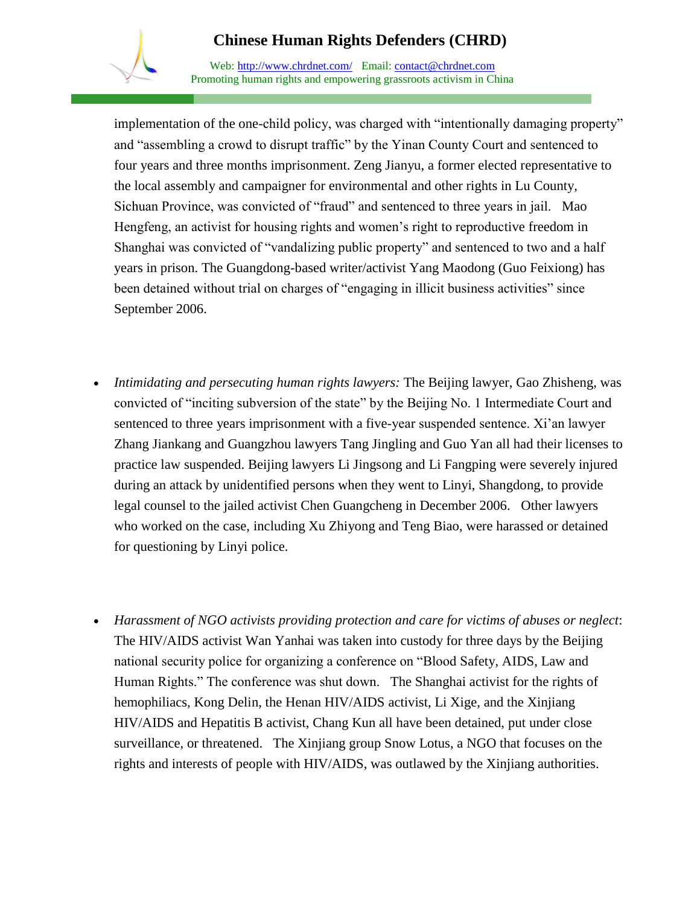Web: http://www.chrdnet.com/ Email: contact@chrdnet.com Promoting human rights and empowering grassroots activism in China

implementation of the one-child policy, was charged with "intentionally damaging property" and "assembling a crowd to disrupt traffic" by the Yinan County Court and sentenced to four years and three months imprisonment. Zeng Jianyu, a former elected representative to the local assembly and campaigner for environmental and other rights in Lu County, Sichuan Province, was convicted of "fraud" and sentenced to three years in jail. Mao Hengfeng, an activist for housing rights and women's right to reproductive freedom in Shanghai was convicted of "vandalizing public property" and sentenced to two and a half years in prison. The Guangdong-based writer/activist Yang Maodong (Guo Feixiong) has been detained without trial on charges of "engaging in illicit business activities" since September 2006.

- *Intimidating and persecuting human rights lawyers:* The Beijing lawyer, Gao Zhisheng, was convicted of "inciting subversion of the state" by the Beijing No. 1 Intermediate Court and sentenced to three years imprisonment with a five-year suspended sentence. Xi'an lawyer Zhang Jiankang and Guangzhou lawyers Tang Jingling and Guo Yan all had their licenses to practice law suspended. Beijing lawyers Li Jingsong and Li Fangping were severely injured during an attack by unidentified persons when they went to Linyi, Shangdong, to provide legal counsel to the jailed activist Chen Guangcheng in December 2006. Other lawyers who worked on the case, including Xu Zhiyong and Teng Biao, were harassed or detained for questioning by Linyi police.
- *Harassment of NGO activists providing protection and care for victims of abuses or neglect*: The HIV/AIDS activist Wan Yanhai was taken into custody for three days by the Beijing national security police for organizing a conference on "Blood Safety, AIDS, Law and Human Rights." The conference was shut down. The Shanghai activist for the rights of hemophiliacs, Kong Delin, the Henan HIV/AIDS activist, Li Xige, and the Xinjiang HIV/AIDS and Hepatitis B activist, Chang Kun all have been detained, put under close surveillance, or threatened. The Xinjiang group Snow Lotus, a NGO that focuses on the rights and interests of people with HIV/AIDS, was outlawed by the Xinjiang authorities.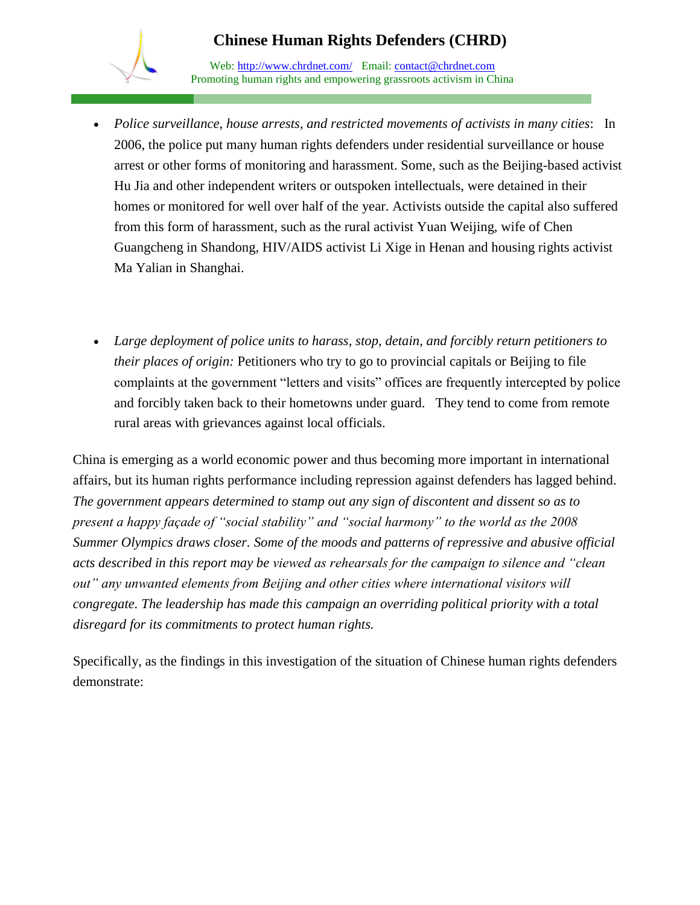Web: http://www.chrdnet.com/ Email: contact@chrdnet.com Promoting human rights and empowering grassroots activism in China

- *Police surveillance, house arrests, and restricted movements of activists in many cities*: In 2006, the police put many human rights defenders under residential surveillance or house arrest or other forms of monitoring and harassment. Some, such as the Beijing-based activist Hu Jia and other independent writers or outspoken intellectuals, were detained in their homes or monitored for well over half of the year. Activists outside the capital also suffered from this form of harassment, such as the rural activist Yuan Weijing, wife of Chen Guangcheng in Shandong, HIV/AIDS activist Li Xige in Henan and housing rights activist Ma Yalian in Shanghai.
- *Large deployment of police units to harass, stop, detain, and forcibly return petitioners to their places of origin:* Petitioners who try to go to provincial capitals or Beijing to file complaints at the government "letters and visits" offices are frequently intercepted by police and forcibly taken back to their hometowns under guard. They tend to come from remote rural areas with grievances against local officials.

China is emerging as a world economic power and thus becoming more important in international affairs, but its human rights performance including repression against defenders has lagged behind. *The government appears determined to stamp out any sign of discontent and dissent so as to present a happy façade of "social stability" and "social harmony" to the world as the 2008 Summer Olympics draws closer. Some of the moods and patterns of repressive and abusive official acts described in this report may be viewed as rehearsals for the campaign to silence and "clean out" any unwanted elements from Beijing and other cities where international visitors will congregate. The leadership has made this campaign an overriding political priority with a total disregard for its commitments to protect human rights.* 

Specifically, as the findings in this investigation of the situation of Chinese human rights defenders demonstrate: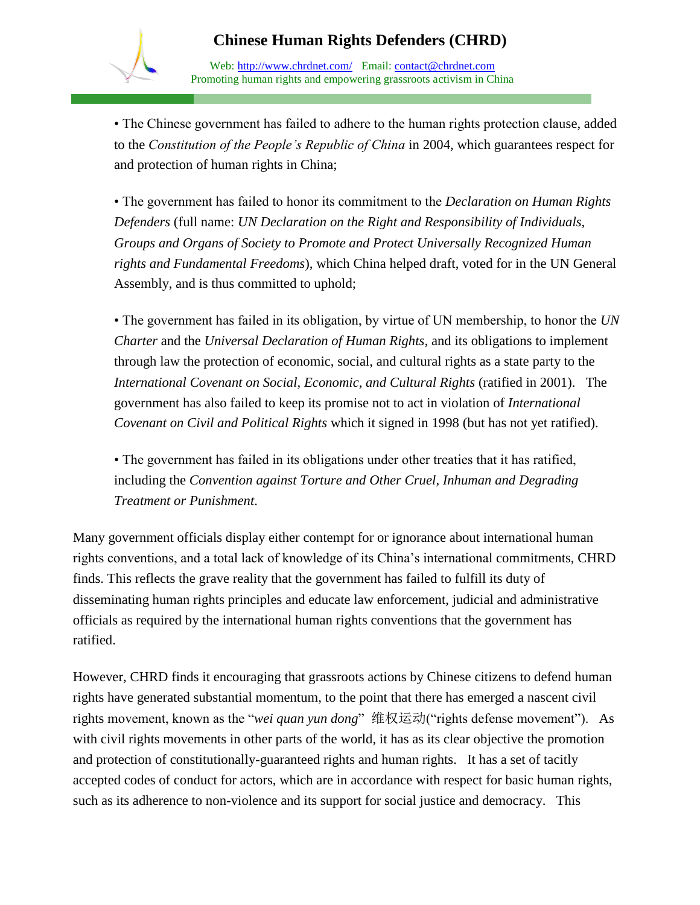Web: http://www.chrdnet.com/ Email: contact@chrdnet.com Promoting human rights and empowering grassroots activism in China

• The Chinese government has failed to adhere to the human rights protection clause, added to the *Constitution of the People's Republic of China* in 2004, which guarantees respect for and protection of human rights in China;

• The government has failed to honor its commitment to the *Declaration on Human Rights Defenders* (full name: *UN Declaration on the Right and Responsibility of Individuals, Groups and Organs of Society to Promote and Protect Universally Recognized Human rights and Fundamental Freedoms*), which China helped draft, voted for in the UN General Assembly, and is thus committed to uphold;

• The government has failed in its obligation, by virtue of UN membership, to honor the *UN Charter* and the *Universal Declaration of Human Rights*, and its obligations to implement through law the protection of economic, social, and cultural rights as a state party to the *International Covenant on Social, Economic, and Cultural Rights* (ratified in 2001). The government has also failed to keep its promise not to act in violation of *International Covenant on Civil and Political Rights* which it signed in 1998 (but has not yet ratified).

• The government has failed in its obligations under other treaties that it has ratified, including the *Convention against Torture and Other Cruel, Inhuman and Degrading Treatment or Punishment*.

Many government officials display either contempt for or ignorance about international human rights conventions, and a total lack of knowledge of its China's international commitments, CHRD finds. This reflects the grave reality that the government has failed to fulfill its duty of disseminating human rights principles and educate law enforcement, judicial and administrative officials as required by the international human rights conventions that the government has ratified.

However, CHRD finds it encouraging that grassroots actions by Chinese citizens to defend human rights have generated substantial momentum, to the point that there has emerged a nascent civil rights movement, known as the "*wei quan yun dong*" 维权运动("rights defense movement"). As with civil rights movements in other parts of the world, it has as its clear objective the promotion and protection of constitutionally-guaranteed rights and human rights. It has a set of tacitly accepted codes of conduct for actors, which are in accordance with respect for basic human rights, such as its adherence to non-violence and its support for social justice and democracy. This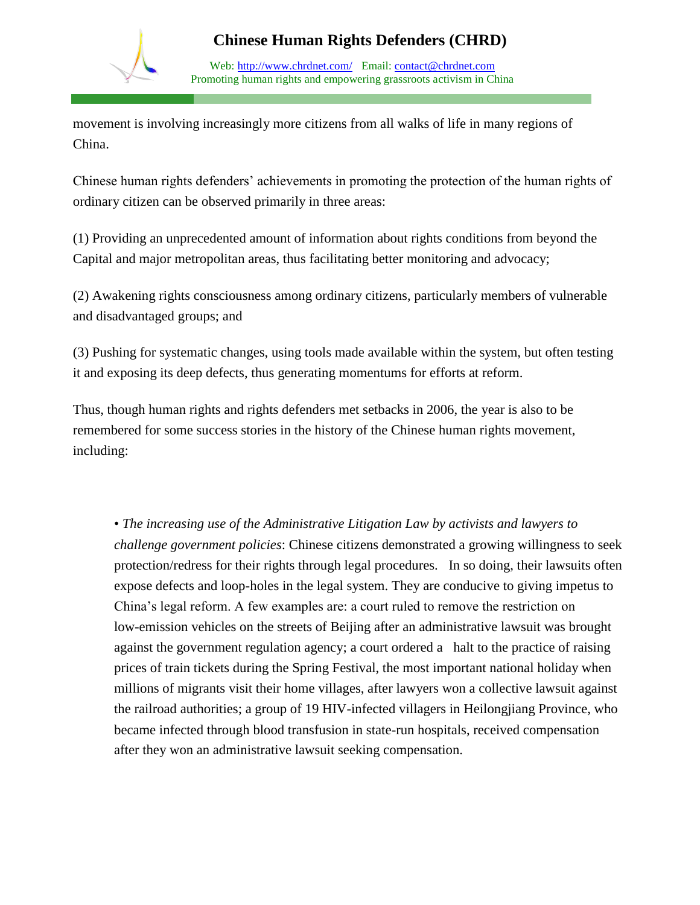

Web: http://www.chrdnet.com/ Email: contact@chrdnet.com Promoting human rights and empowering grassroots activism in China

movement is involving increasingly more citizens from all walks of life in many regions of China.

Chinese human rights defenders' achievements in promoting the protection of the human rights of ordinary citizen can be observed primarily in three areas:

(1) Providing an unprecedented amount of information about rights conditions from beyond the Capital and major metropolitan areas, thus facilitating better monitoring and advocacy;

(2) Awakening rights consciousness among ordinary citizens, particularly members of vulnerable and disadvantaged groups; and

(3) Pushing for systematic changes, using tools made available within the system, but often testing it and exposing its deep defects, thus generating momentums for efforts at reform.

Thus, though human rights and rights defenders met setbacks in 2006, the year is also to be remembered for some success stories in the history of the Chinese human rights movement, including:

• *The increasing use of the Administrative Litigation Law by activists and lawyers to challenge government policies*: Chinese citizens demonstrated a growing willingness to seek protection/redress for their rights through legal procedures. In so doing, their lawsuits often expose defects and loop-holes in the legal system. They are conducive to giving impetus to China's legal reform. A few examples are: a court ruled to remove the restriction on low-emission vehicles on the streets of Beijing after an administrative lawsuit was brought against the government regulation agency; a court ordered a halt to the practice of raising prices of train tickets during the Spring Festival, the most important national holiday when millions of migrants visit their home villages, after lawyers won a collective lawsuit against the railroad authorities; a group of 19 HIV-infected villagers in Heilongjiang Province, who became infected through blood transfusion in state-run hospitals, received compensation after they won an administrative lawsuit seeking compensation.